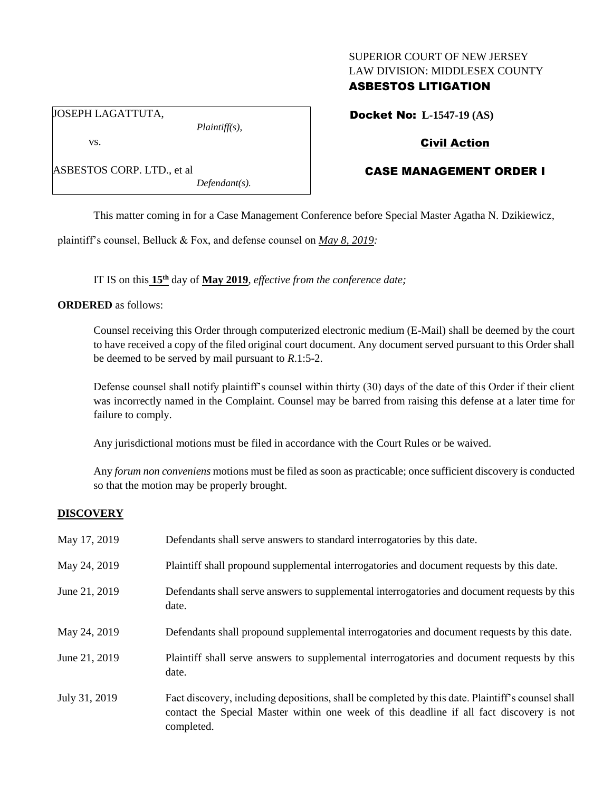# SUPERIOR COURT OF NEW JERSEY LAW DIVISION: MIDDLESEX COUNTY

## ASBESTOS LITIGATION

JOSEPH LAGATTUTA,

vs.

ASBESTOS CORP. LTD., et al *Defendant(s).* Docket No: **L-1547-19 (AS)**

# Civil Action

# CASE MANAGEMENT ORDER I

This matter coming in for a Case Management Conference before Special Master Agatha N. Dzikiewicz,

plaintiff's counsel, Belluck & Fox, and defense counsel on *May 8, 2019:*

*Plaintiff(s),*

IT IS on this **15th** day of **May 2019**, *effective from the conference date;*

**ORDERED** as follows:

Counsel receiving this Order through computerized electronic medium (E-Mail) shall be deemed by the court to have received a copy of the filed original court document. Any document served pursuant to this Order shall be deemed to be served by mail pursuant to *R*.1:5-2.

Defense counsel shall notify plaintiff's counsel within thirty (30) days of the date of this Order if their client was incorrectly named in the Complaint. Counsel may be barred from raising this defense at a later time for failure to comply.

Any jurisdictional motions must be filed in accordance with the Court Rules or be waived.

Any *forum non conveniens* motions must be filed as soon as practicable; once sufficient discovery is conducted so that the motion may be properly brought.

## **DISCOVERY**

| May 17, 2019  | Defendants shall serve answers to standard interrogatories by this date.                                                                                                                                    |
|---------------|-------------------------------------------------------------------------------------------------------------------------------------------------------------------------------------------------------------|
| May 24, 2019  | Plaintiff shall propound supplemental interrogatories and document requests by this date.                                                                                                                   |
| June 21, 2019 | Defendants shall serve answers to supplemental interrogatories and document requests by this<br>date.                                                                                                       |
| May 24, 2019  | Defendants shall propound supplemental interrogatories and document requests by this date.                                                                                                                  |
| June 21, 2019 | Plaintiff shall serve answers to supplemental interrogatories and document requests by this<br>date.                                                                                                        |
| July 31, 2019 | Fact discovery, including depositions, shall be completed by this date. Plaintiff's counsel shall<br>contact the Special Master within one week of this deadline if all fact discovery is not<br>completed. |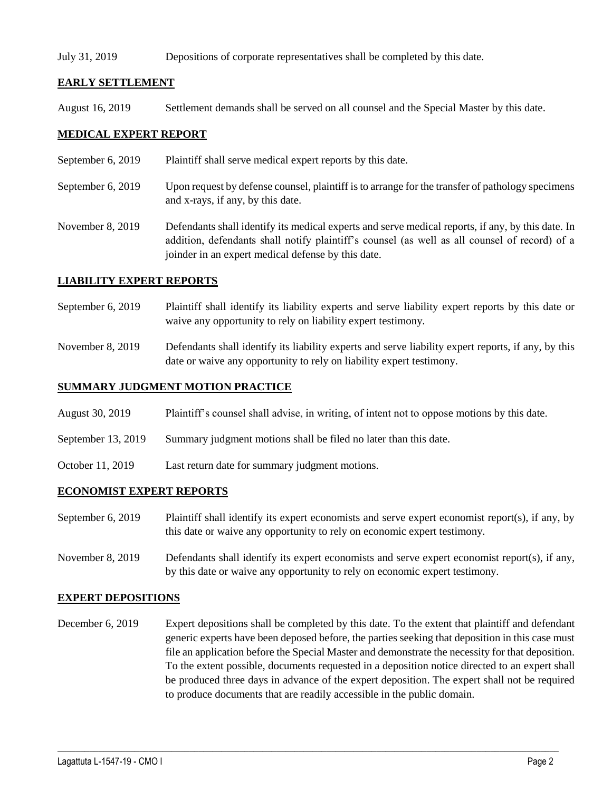#### July 31, 2019 Depositions of corporate representatives shall be completed by this date.

## **EARLY SETTLEMENT**

August 16, 2019 Settlement demands shall be served on all counsel and the Special Master by this date.

### **MEDICAL EXPERT REPORT**

- September 6, 2019 Plaintiff shall serve medical expert reports by this date.
- September 6, 2019 Upon request by defense counsel, plaintiff is to arrange for the transfer of pathology specimens and x-rays, if any, by this date.
- November 8, 2019 Defendants shall identify its medical experts and serve medical reports, if any, by this date. In addition, defendants shall notify plaintiff's counsel (as well as all counsel of record) of a joinder in an expert medical defense by this date.

#### **LIABILITY EXPERT REPORTS**

- September 6, 2019 Plaintiff shall identify its liability experts and serve liability expert reports by this date or waive any opportunity to rely on liability expert testimony.
- November 8, 2019 Defendants shall identify its liability experts and serve liability expert reports, if any, by this date or waive any opportunity to rely on liability expert testimony.

### **SUMMARY JUDGMENT MOTION PRACTICE**

- August 30, 2019 Plaintiff's counsel shall advise, in writing, of intent not to oppose motions by this date.
- September 13, 2019 Summary judgment motions shall be filed no later than this date.
- October 11, 2019 Last return date for summary judgment motions.

#### **ECONOMIST EXPERT REPORTS**

- September 6, 2019 Plaintiff shall identify its expert economists and serve expert economist report(s), if any, by this date or waive any opportunity to rely on economic expert testimony.
- November 8, 2019 Defendants shall identify its expert economists and serve expert economist report(s), if any, by this date or waive any opportunity to rely on economic expert testimony.

#### **EXPERT DEPOSITIONS**

December 6, 2019 Expert depositions shall be completed by this date. To the extent that plaintiff and defendant generic experts have been deposed before, the parties seeking that deposition in this case must file an application before the Special Master and demonstrate the necessity for that deposition. To the extent possible, documents requested in a deposition notice directed to an expert shall be produced three days in advance of the expert deposition. The expert shall not be required to produce documents that are readily accessible in the public domain.

 $\_$  , and the set of the set of the set of the set of the set of the set of the set of the set of the set of the set of the set of the set of the set of the set of the set of the set of the set of the set of the set of th